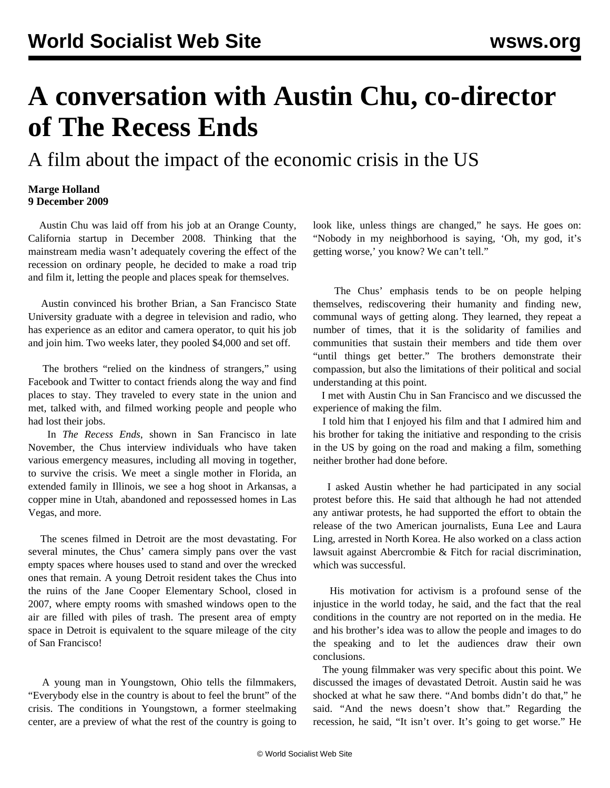## **A conversation with Austin Chu, co-director of The Recess Ends**

A film about the impact of the economic crisis in the US

## **Marge Holland 9 December 2009**

 Austin Chu was laid off from his job at an Orange County, California startup in December 2008. Thinking that the mainstream media wasn't adequately covering the effect of the recession on ordinary people, he decided to make a road trip and film it, letting the people and places speak for themselves.

 Austin convinced his brother Brian, a San Francisco State University graduate with a degree in television and radio, who has experience as an editor and camera operator, to quit his job and join him. Two weeks later, they pooled \$4,000 and set off.

 The brothers "relied on the kindness of strangers," using Facebook and Twitter to contact friends along the way and find places to stay. They traveled to every state in the union and met, talked with, and filmed working people and people who had lost their jobs.

 In *The Recess Ends*, shown in San Francisco in late November, the Chus interview individuals who have taken various emergency measures, including all moving in together, to survive the crisis. We meet a single mother in Florida, an extended family in Illinois, we see a hog shoot in Arkansas, a copper mine in Utah, abandoned and repossessed homes in Las Vegas, and more.

 The scenes filmed in Detroit are the most devastating. For several minutes, the Chus' camera simply pans over the vast empty spaces where houses used to stand and over the wrecked ones that remain. A young Detroit resident takes the Chus into the ruins of the Jane Cooper Elementary School, closed in 2007, where empty rooms with smashed windows open to the air are filled with piles of trash. The present area of empty space in Detroit is equivalent to the square mileage of the city of San Francisco!

 A young man in Youngstown, Ohio tells the filmmakers, "Everybody else in the country is about to feel the brunt" of the crisis. The conditions in Youngstown, a former steelmaking center, are a preview of what the rest of the country is going to look like, unless things are changed," he says. He goes on: "Nobody in my neighborhood is saying, 'Oh, my god, it's getting worse,' you know? We can't tell."

 The Chus' emphasis tends to be on people helping themselves, rediscovering their humanity and finding new, communal ways of getting along. They learned, they repeat a number of times, that it is the solidarity of families and communities that sustain their members and tide them over "until things get better." The brothers demonstrate their compassion, but also the limitations of their political and social understanding at this point.

 I met with Austin Chu in San Francisco and we discussed the experience of making the film.

 I told him that I enjoyed his film and that I admired him and his brother for taking the initiative and responding to the crisis in the US by going on the road and making a film, something neither brother had done before.

 I asked Austin whether he had participated in any social protest before this. He said that although he had not attended any antiwar protests, he had supported the effort to obtain the release of the two American journalists, Euna Lee and Laura Ling, arrested in North Korea. He also worked on a class action lawsuit against Abercrombie & Fitch for racial discrimination, which was successful.

 His motivation for activism is a profound sense of the injustice in the world today, he said, and the fact that the real conditions in the country are not reported on in the media. He and his brother's idea was to allow the people and images to do the speaking and to let the audiences draw their own conclusions.

 The young filmmaker was very specific about this point. We discussed the images of devastated Detroit. Austin said he was shocked at what he saw there. "And bombs didn't do that," he said. "And the news doesn't show that." Regarding the recession, he said, "It isn't over. It's going to get worse." He